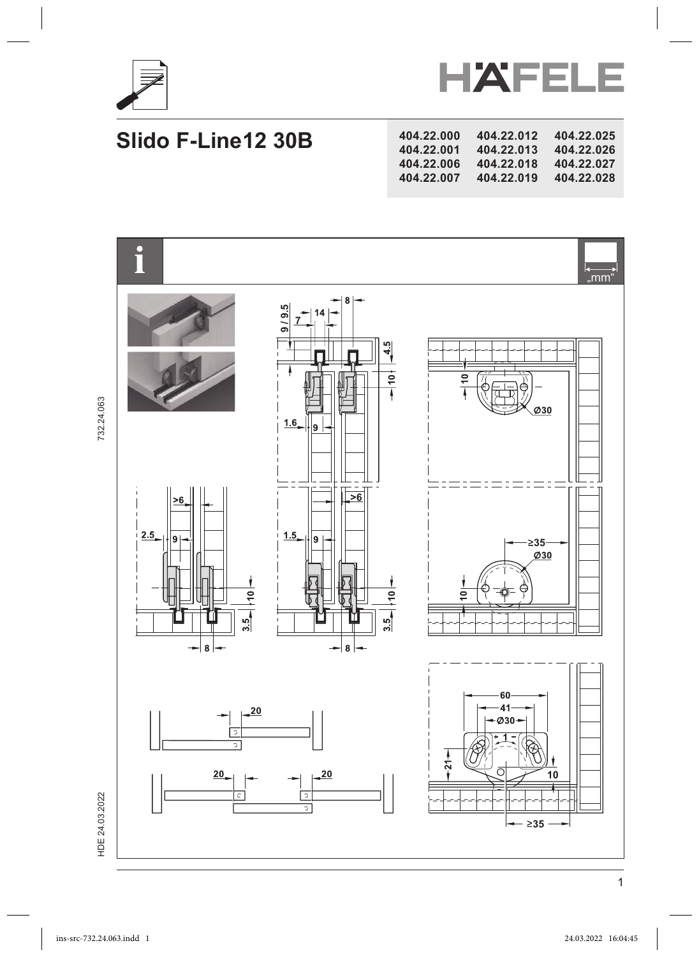



## Slido F-Line12 30B

| 404.22.000 | 404.22.012 | 404.22.025 |
|------------|------------|------------|
| 404.22.001 | 404.22.013 | 404.22.026 |
| 404.22.006 | 404.22.018 | 404.22.027 |
| 404.22.007 | 404.22.019 | 404.22.028 |



732.24.063

HDE 24.03.2022

 $\overline{1}$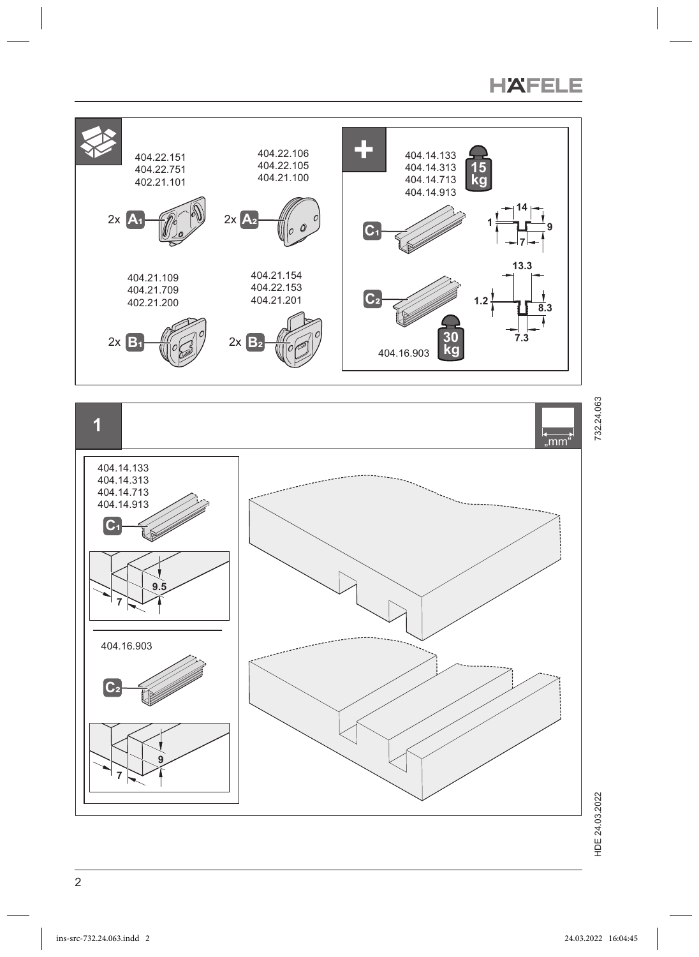



732.24.063

HDE 24.03.2022

 $\overline{\mathbf{1}}$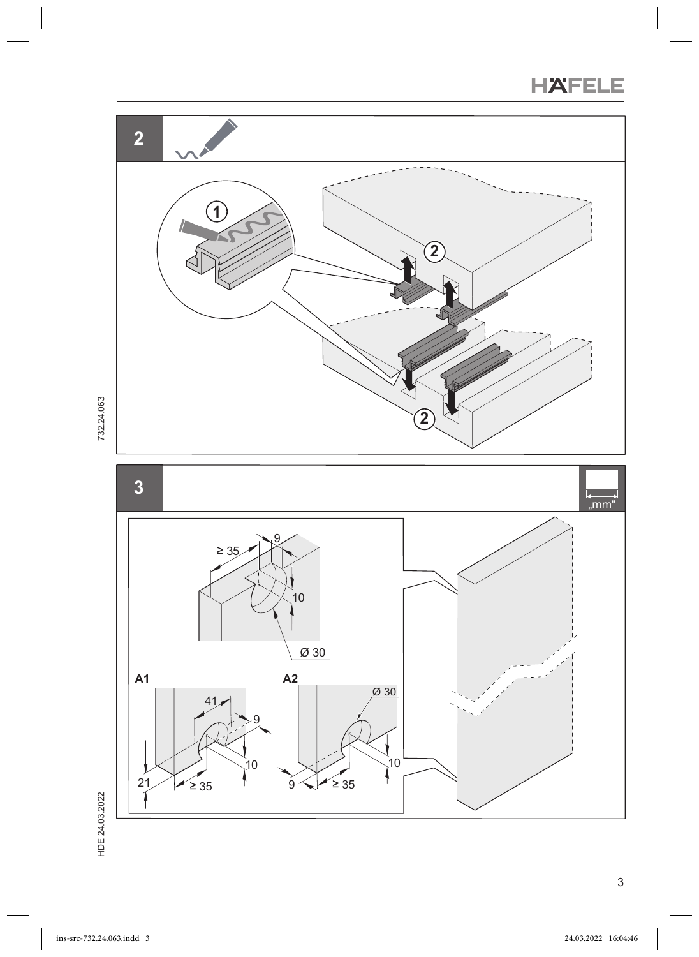

732.24.063

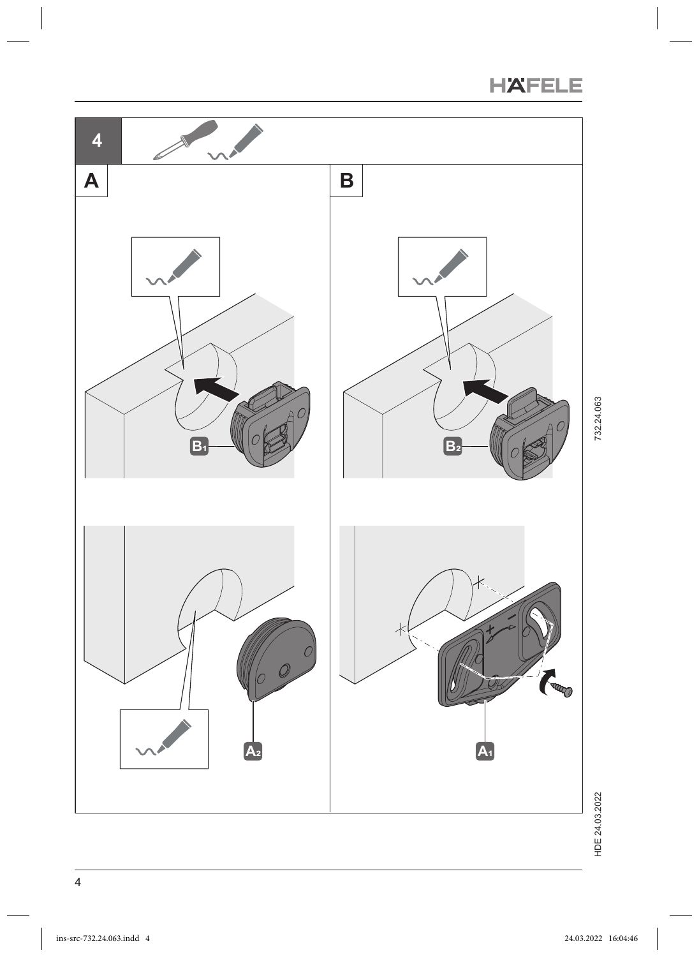

HDE 24.03.2022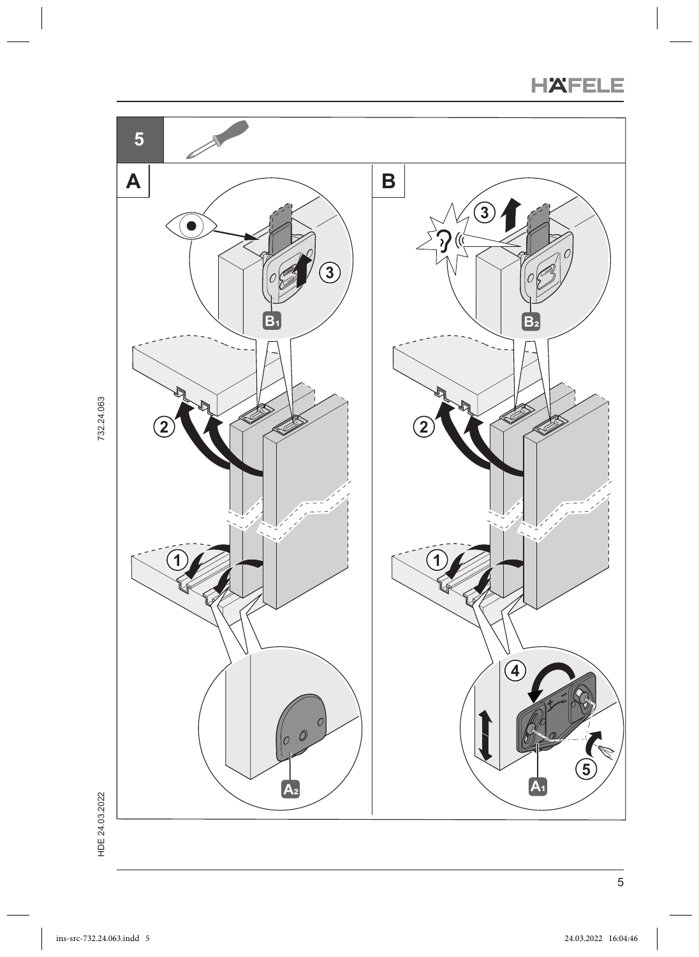

732.24.063

HDE 24.03.2022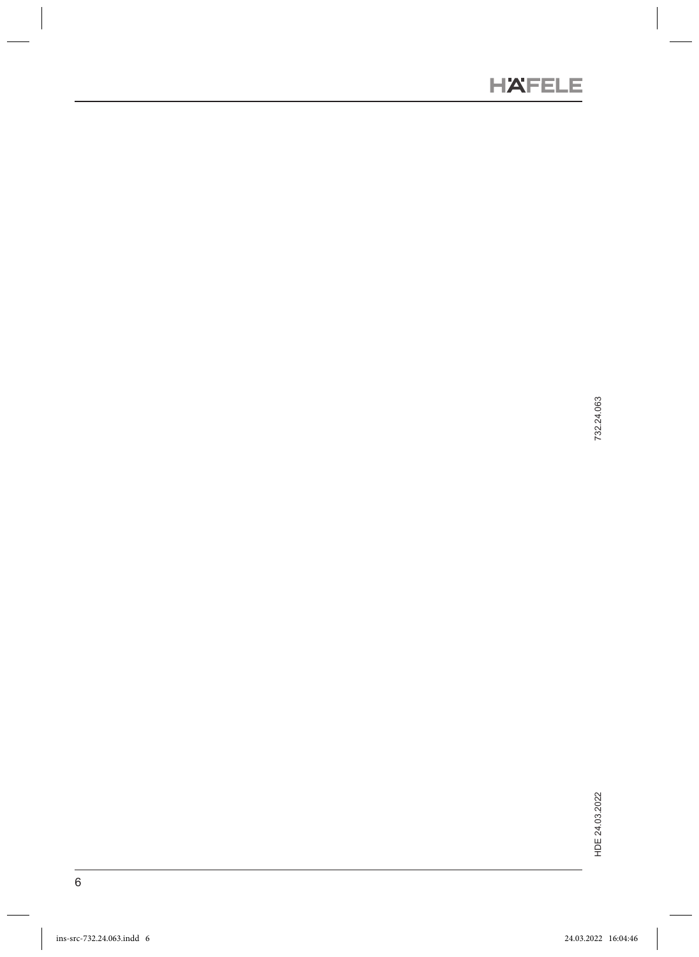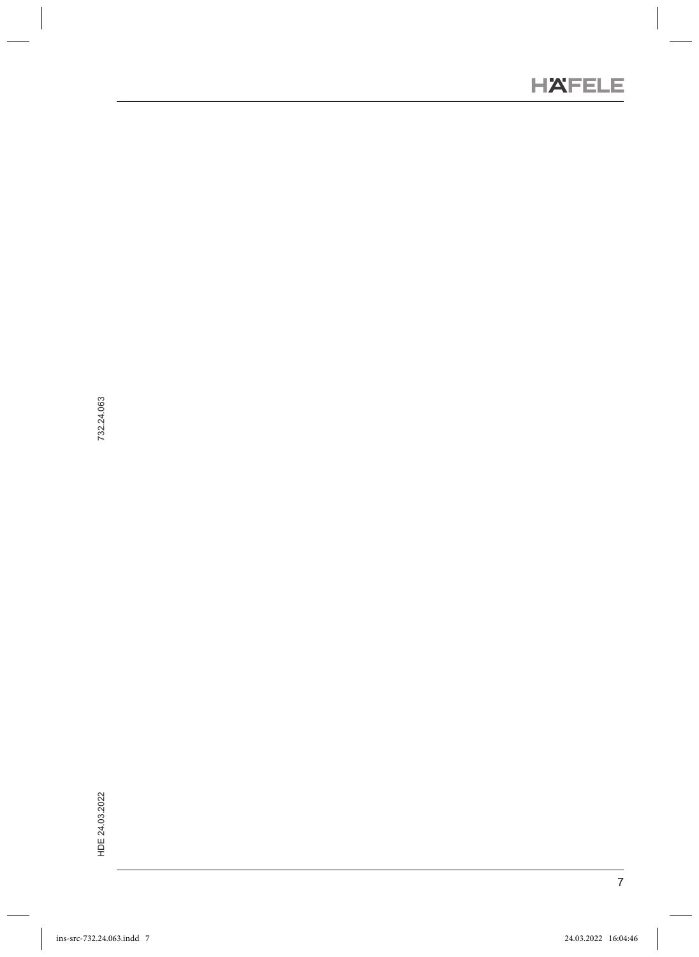## HDE 24.03.2022

732.24.063

**HAFELE**